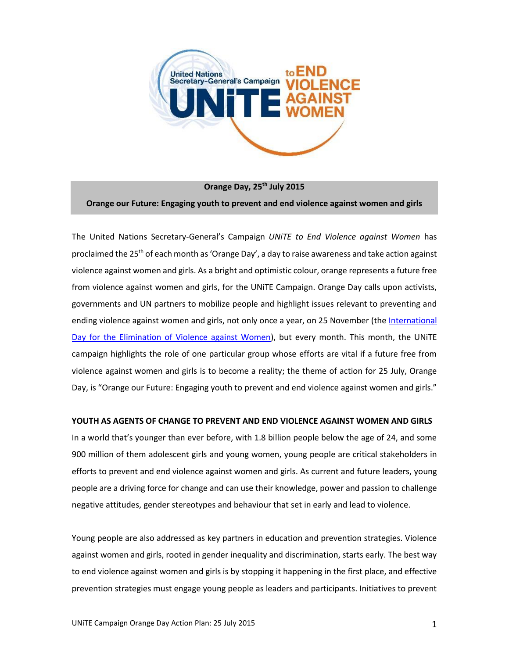

**Orange Day, 25th July 2015 Orange our Future: Engaging youth to prevent and end violence against women and girls**

The United Nations Secretary-General's Campaign *UNiTE to End Violence against Women* has proclaimed the 25th of each month as 'Orange Day', a day to raise awareness and take action against violence against women and girls. As a bright and optimistic colour, orange represents a future free from violence against women and girls, for the UNiTE Campaign. Orange Day calls upon activists, governments and UN partners to mobilize people and highlight issues relevant to preventing and ending violence against women and girls, not only once a year, on 25 November (th[e International](http://www.unwomen.org/en/news/in-focus/end-violence-against-women)  [Day for the Elimination of Violence against Women\)](http://www.unwomen.org/en/news/in-focus/end-violence-against-women), but every month. This month, the UNITE campaign highlights the role of one particular group whose efforts are vital if a future free from violence against women and girls is to become a reality; the theme of action for 25 July, Orange Day, is "Orange our Future: Engaging youth to prevent and end violence against women and girls."

#### **YOUTH AS AGENTS OF CHANGE TO PREVENT AND END VIOLENCE AGAINST WOMEN AND GIRLS**

In a world that's younger than ever before, with 1.8 billion people below the age of 24, and some 900 million of them adolescent girls and young women, young people are critical stakeholders in efforts to prevent and end violence against women and girls. As current and future leaders, young people are a driving force for change and can use their knowledge, power and passion to challenge negative attitudes, gender stereotypes and behaviour that set in early and lead to violence.

Young people are also addressed as key partners in education and prevention strategies. Violence against women and girls, rooted in gender inequality and discrimination, starts early. The best way to end violence against women and girls is by stopping it happening in the first place, and effective prevention strategies must engage young people as leaders and participants. Initiatives to prevent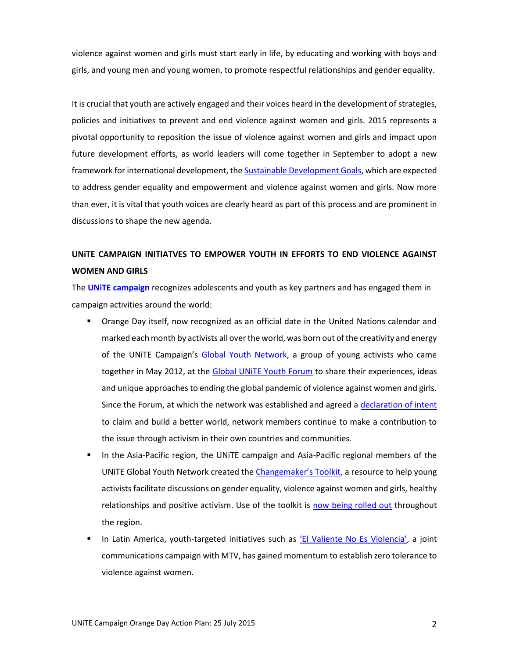violence against women and girls must start early in life, by educating and working with boys and girls, and young men and young women, to promote respectful relationships and gender equality.

It is crucial that youth are actively engaged and their voices heard in the development of strategies, policies and initiatives to prevent and end violence against women and girls. 2015 represents a pivotal opportunity to reposition the issue of violence against women and girls and impact upon future development efforts, as world leaders will come together in September to adopt a new framework for international development, the [Sustainable Development Goals,](https://sustainabledevelopment.un.org/topics/sustainabledevelopmentgoals) which are expected to address gender equality and empowerment and violence against women and girls. Now more than ever, it is vital that youth voices are clearly heard as part of this process and are prominent in discussions to shape the new agenda.

## **UNiTE CAMPAIGN INITIATVES TO EMPOWER YOUTH IN EFFORTS TO END VIOLENCE AGAINST WOMEN AND GIRLS**

The **[UNiTE campaign](http://endviolence.un.org/)** recognizes adolescents and youth as key partners and has engaged them in campaign activities around the world:

- Orange Day itself, now recognized as an official date in the United Nations calendar and marked each month by activists all over the world, was born out of the creativity and energy of the UNiTE Campaign's [Global Youth Network,](http://endviolence.un.org/network.shtml) a group of young activists who came together in May 2012, at the Global UNITE Youth Forum to share their experiences, ideas and unique approaches to ending the global pandemic of violence against women and girls. Since the Forum, at which the network was established and agreed [a declaration of intent](http://endviolence.un.org/pdf/UNiTE%20Global%20Youth%20Network_Brochure_FINAL_2012.pdf) to claim and build a better world, network members continue to make a contribution to the issue through activism in their own countries and communities.
- In the Asia-Pacific region, the UNiTE campaign and Asia-Pacific regional members of the UNITE Global Youth Network created the [Changemaker's Toolkit](http://asiapacific.unwomen.org/en/digital-library/publications/2014/9/the-changemaker), a resource to help young activists facilitate discussions on gender equality, violence against women and girls, healthy relationships and positive activism. Use of the toolkit is [now being rolled out](http://asiapacific.unwomen.org/en/news-and-events/stories/2015/05/building-skills-of-young-leaders-to-prevent-violence-against-women) throughout the region.
- In Latin America, youth-targeted initiatives such as **EL Valiente No Es Violencia'**, a joint communications campaign with MTV, has gained momentum to establish zero tolerance to violence against women.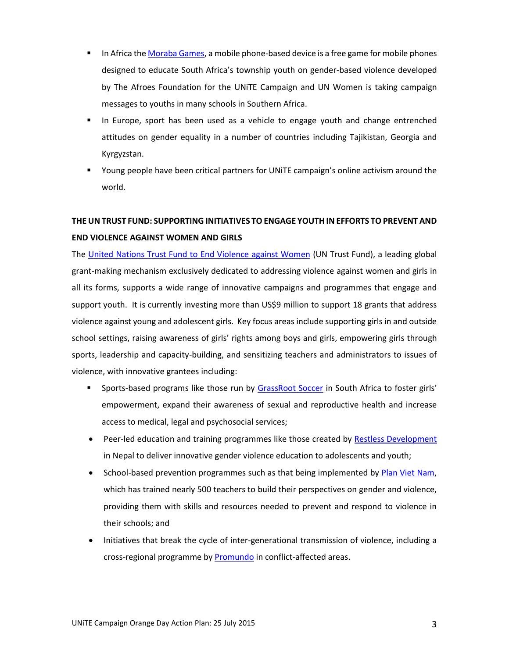- In Africa the [Moraba Games,](http://www.comminit.com/edutain-africa/content/moraba-mobile-game) a mobile phone-based device is a free game for mobile phones designed to educate South Africa's township youth on gender-based violence developed by The Afroes Foundation for the UNiTE Campaign and UN Women is taking campaign messages to youths in many schools in Southern Africa.
- In Europe, sport has been used as a vehicle to engage youth and change entrenched attitudes on gender equality in a number of countries including Tajikistan, Georgia and Kyrgyzstan.
- Young people have been critical partners for UNiTE campaign's online activism around the world.

# **THE UN TRUST FUND: SUPPORTING INITIATIVES TO ENGAGE YOUTH IN EFFORTS TO PREVENT AND END VIOLENCE AGAINST WOMEN AND GIRLS**

The [United Nations Trust Fund to End Violence against Women](http://www.unwomen.org/en/trust-funds/un-trust-fund-to-end-violence-against-women) (UN Trust Fund), a leading global grant-making mechanism exclusively dedicated to addressing violence against women and girls in all its forms, supports a wide range of innovative campaigns and programmes that engage and support youth. It is currently investing more than US\$9 million to support 18 grants that address violence against young and adolescent girls. Key focus areas include supporting girls in and outside school settings, raising awareness of girls' rights among boys and girls, empowering girls through sports, leadership and capacity-building, and sensitizing teachers and administrators to issues of violence, with innovative grantees including:

- **Sports-based programs like those run by [GrassRoot Soccer](http://www.grassrootsoccer.org/) in South Africa to foster girls'** empowerment, expand their awareness of sexual and reproductive health and increase access to medical, legal and psychosocial services;
- Peer-led education and training programmes like those created by [Restless Development](http://restlessdevelopment.org/) in Nepal to deliver innovative gender violence education to adolescents and youth;
- School-based prevention programmes such as that being implemented by [Plan Viet Nam,](https://plan-international.org/where-we-work/asia/vietnam/) which has trained nearly 500 teachers to build their perspectives on gender and violence, providing them with skills and resources needed to prevent and respond to violence in their schools; and
- Initiatives that break the cycle of inter-generational transmission of violence, including a cross-regional programme by **Promundo** in conflict-affected areas.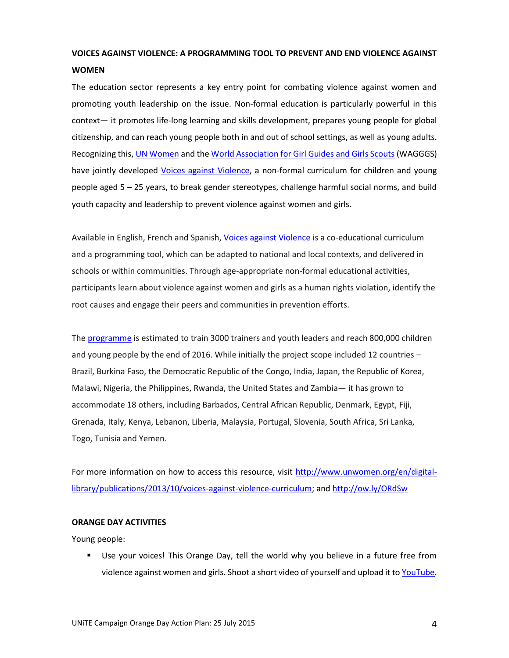## **VOICES AGAINST VIOLENCE: A PROGRAMMING TOOL TO PREVENT AND END VIOLENCE AGAINST WOMEN**

The education sector represents a key entry point for combating violence against women and promoting youth leadership on the issue. Non-formal education is particularly powerful in this context— it promotes life-long learning and skills development, prepares young people for global citizenship, and can reach young people both in and out of school settings, as well as young adults. Recognizing this, [UN Women](http://www.unwomen.org/en) and the [World Association for Girl Guides and Girls Scouts](http://www.wagggs.org/en/home) (WAGGGS) have jointly developed [Voices against Violence,](http://www.unwomen.org/en/digital-library/publications/2013/10/voices-against-violence-curriculum) a non-formal curriculum for children and young people aged 5 – 25 years, to break gender stereotypes, challenge harmful social norms, and build youth capacity and leadership to prevent violence against women and girls.

Available in English, French and Spanish, [Voices against Violence](http://www.unwomen.org/en/digital-library/publications/2013/10/voices-against-violence-curriculum) is a co-educational curriculum and a programming tool, which can be adapted to national and local contexts, and delivered in schools or within communities. Through age-appropriate non-formal educational activities, participants learn about violence against women and girls as a human rights violation, identify the root causes and engage their peers and communities in prevention efforts.

Th[e programme](http://www.unwomen.org/en/news/stories/2015/4/in-the-words-of-edith-chukwu-i-want-to-see-a-world-free-of-violence-against-women-and-girls) is estimated to train 3000 trainers and youth leaders and reach 800,000 children and young people by the end of 2016. While initially the project scope included 12 countries – Brazil, Burkina Faso, the Democratic Republic of the Congo, India, Japan, the Republic of Korea, Malawi, Nigeria, the Philippines, Rwanda, the United States and Zambia— it has grown to accommodate 18 others, including Barbados, Central African Republic, Denmark, Egypt, Fiji, Grenada, Italy, Kenya, Lebanon, Liberia, Malaysia, Portugal, Slovenia, South Africa, Sri Lanka, Togo, Tunisia and Yemen.

For more information on how to access this resource, visit [http://www.unwomen.org/en/digital](http://www.unwomen.org/en/digital-library/publications/2013/10/voices-against-violence-curriculum)[library/publications/2013/10/voices-against-violence-curriculum;](http://www.unwomen.org/en/digital-library/publications/2013/10/voices-against-violence-curriculum) and<http://ow.ly/ORdSw>

#### **ORANGE DAY ACTIVITIES**

Young people:

 Use your voices! This Orange Day, tell the world why you believe in a future free from violence against women and girls. Shoot a short video of yourself and upload it t[o YouTube.](https://www.youtube.com/)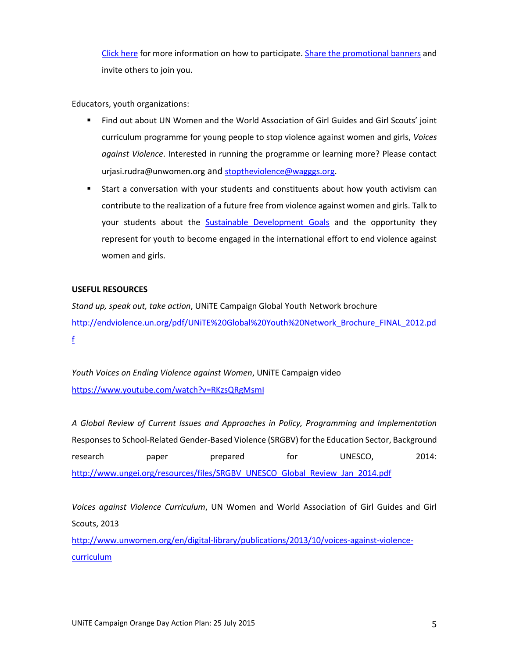[Click here](http://www.unwomen.org/~/media/headquarters/attachments/sections/what%20we%20do/july%20orange%20day%20-%20web%20text%20-%20call%20to%20action.pdf) for more information on how to participate. [Share the promotional banners](https://www.dropbox.com/sh/vbc9aymq6cp5se2/AAAR-eFZ1JCXTXcuhYZGEcbta?dl=0) and invite others to join you.

Educators, youth organizations:

- Find out about UN Women and the World Association of Girl Guides and Girl Scouts' joint curriculum programme for young people to stop violence against women and girls, *Voices against Violence*. Interested in running the programme or learning more? Please contact urjasi.rudra@unwomen.org and [stoptheviolence@wagggs.org.](mailto:stoptheviolence@wagggs.org)
- Start a conversation with your students and constituents about how youth activism can contribute to the realization of a future free from violence against women and girls. Talk to your students about the **[Sustainable Development Goals](https://sustainabledevelopment.un.org/topics/sustainabledevelopmentgoals)** and the opportunity they represent for youth to become engaged in the international effort to end violence against women and girls.

### **USEFUL RESOURCES**

*Stand up, speak out, take action*, UNiTE Campaign Global Youth Network brochure [http://endviolence.un.org/pdf/UNiTE%20Global%20Youth%20Network\\_Brochure\\_FINAL\\_2012.pd](http://endviolence.un.org/pdf/UNiTE%20Global%20Youth%20Network_Brochure_FINAL_2012.pdf) [f](http://endviolence.un.org/pdf/UNiTE%20Global%20Youth%20Network_Brochure_FINAL_2012.pdf)

*Youth Voices on Ending Violence against Women*, UNiTE Campaign video <https://www.youtube.com/watch?v=RKzsQRgMsmI>

*A Global Review of Current Issues and Approaches in Policy, Programming and Implementation* Responses to School-Related Gender-Based Violence (SRGBV) for the Education Sector, Background research paper prepared for UNESCO, 2014: [http://www.ungei.org/resources/files/SRGBV\\_UNESCO\\_Global\\_Review\\_Jan\\_2014.pdf](http://www.ungei.org/resources/files/SRGBV_UNESCO_Global_Review_Jan_2014.pdf)

*Voices against Violence Curriculum*, UN Women and World Association of Girl Guides and Girl Scouts, 2013

[http://www.unwomen.org/en/digital-library/publications/2013/10/voices-against-violence](http://www.unwomen.org/en/digital-library/publications/2013/10/voices-against-violence-curriculum)[curriculum](http://www.unwomen.org/en/digital-library/publications/2013/10/voices-against-violence-curriculum)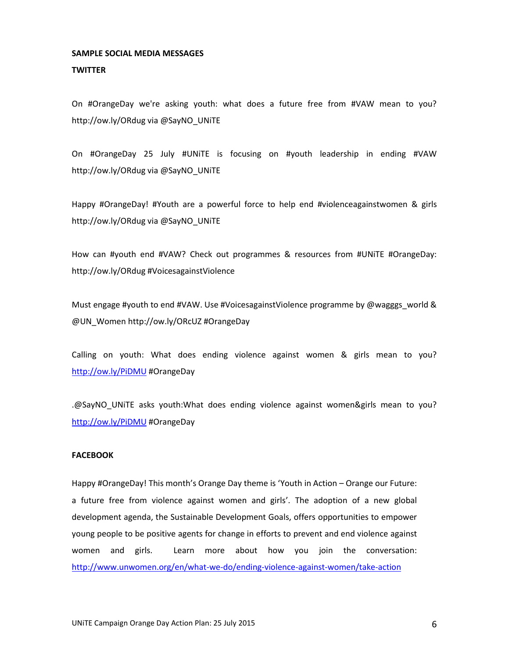### **SAMPLE SOCIAL MEDIA MESSAGES**

#### **TWITTER**

On #OrangeDay we're asking youth: what does a future free from #VAW mean to you? http://ow.ly/ORdug via @SayNO\_UNiTE

On #OrangeDay 25 July #UNiTE is focusing on #youth leadership in ending #VAW http://ow.ly/ORdug via @SayNO\_UNiTE

Happy #OrangeDay! #Youth are a powerful force to help end #violenceagainstwomen & girls http://ow.ly/ORdug via @SayNO\_UNiTE

How can #youth end #VAW? Check out programmes & resources from #UNiTE #OrangeDay: http://ow.ly/ORdug #VoicesagainstViolence

Must engage #youth to end #VAW. Use #VoicesagainstViolence programme by @wagggs\_world & @UN\_Women http://ow.ly/ORcUZ #OrangeDay

Calling on youth: What does ending violence against women & girls mean to you? <http://ow.ly/PiDMU> #OrangeDay

.@SayNO\_UNiTE asks youth:What does ending violence against women&girls mean to you? <http://ow.ly/PiDMU> #OrangeDay

#### **FACEBOOK**

Happy #OrangeDay! This month's Orange Day theme is 'Youth in Action – Orange our Future: a future free from violence against women and girls'. The adoption of a new global development agenda, the Sustainable Development Goals, offers opportunities to empower young people to be positive agents for change in efforts to prevent and end violence against women and girls. Learn more about how you join the conversation: <http://www.unwomen.org/en/what-we-do/ending-violence-against-women/take-action>